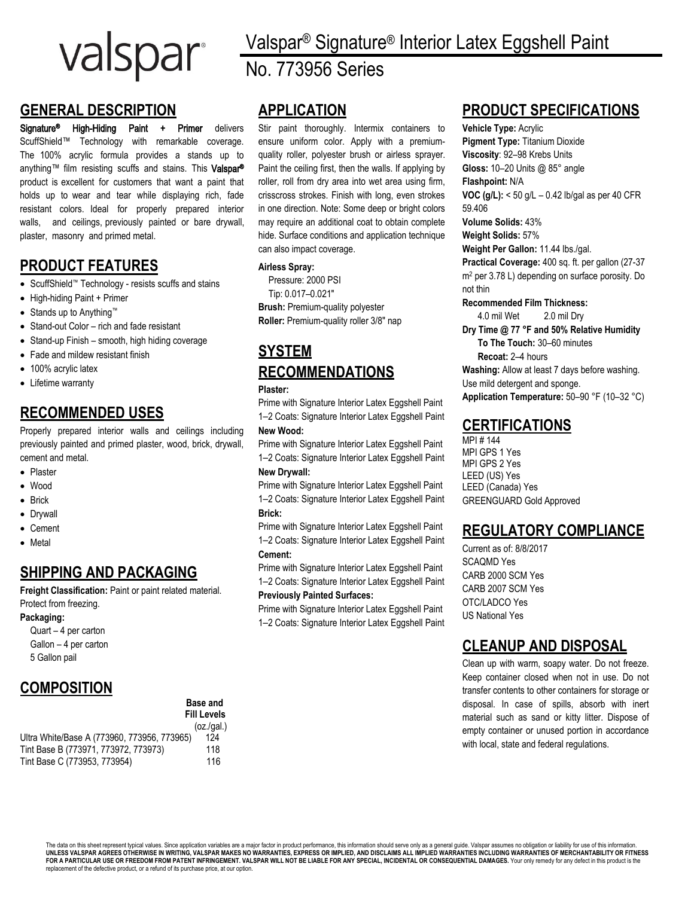

## **GENERAL DESCRIPTION**

Signature® High-Hiding Paint + Primer delivers ScuffShield™ Technology with remarkable coverage. The 100% acrylic formula provides a stands up to anything™ film resisting scuffs and stains. This Valspar® product is excellent for customers that want a paint that holds up to wear and tear while displaying rich, fade resistant colors. Ideal for properly prepared interior walls, and ceilings, previously painted or bare drywall, plaster, masonry and primed metal.

### **PRODUCT FEATURES**

- ScuffShield™ Technology resists scuffs and stains
- High-hiding Paint + Primer
- Stands up to Anything™
- Stand-out Color rich and fade resistant
- Stand-up Finish smooth, high hiding coverage
- Fade and mildew resistant finish
- 100% acrylic latex
- Lifetime warranty

## **RECOMMENDED USES**

Properly prepared interior walls and ceilings including previously painted and primed plaster, wood, brick, drywall, cement and metal.

- Plaster
- Wood
- Brick
- Drywall
- Cement
- Metal

# **SHIPPING AND PACKAGING**

**Freight Classification:** Paint or paint related material. Protect from freezing.

#### **Packaging:**

Quart – 4 per carton Gallon – 4 per carton 5 Gallon pail

# **COMPOSITION**

|                                             | Dase and           |
|---------------------------------------------|--------------------|
|                                             | <b>Fill Levels</b> |
|                                             | (oz.(gal.)         |
| Ultra White/Base A (773960, 773956, 773965) | 124                |
| Tint Base B (773971, 773972, 773973)        | 118                |
| Tint Base C (773953, 773954)                | 116                |

**Base and** 

Valspar® Signature® Interior Latex Eggshell Paint No. 773956 Series

# **APPLICATION**

Stir paint thoroughly. Intermix containers to ensure uniform color. Apply with a premiumquality roller, polyester brush or airless sprayer. Paint the ceiling first, then the walls. If applying by roller, roll from dry area into wet area using firm, crisscross strokes. Finish with long, even strokes in one direction. Note: Some deep or bright colors may require an additional coat to obtain complete hide. Surface conditions and application technique can also impact coverage.

#### **Airless Spray:**

Pressure: 2000 PSI Tip: 0.017–0.021″ **Brush:** Premium-quality polyester **Roller:** Premium-quality roller 3/8″ nap

# **SYSTEM RECOMMENDATIONS**

#### **Plaster:**

Prime with Signature Interior Latex Eggshell Paint 1–2 Coats: Signature Interior Latex Eggshell Paint **New Wood:**

Prime with Signature Interior Latex Eggshell Paint 1–2 Coats: Signature Interior Latex Eggshell Paint

#### **New Drywall:**

Prime with Signature Interior Latex Eggshell Paint 1–2 Coats: Signature Interior Latex Eggshell Paint **Brick:**

Prime with Signature Interior Latex Eggshell Paint 1–2 Coats: Signature Interior Latex Eggshell Paint **Cement:**

Prime with Signature Interior Latex Eggshell Paint 1–2 Coats: Signature Interior Latex Eggshell Paint **Previously Painted Surfaces:**

Prime with Signature Interior Latex Eggshell Paint 1–2 Coats: Signature Interior Latex Eggshell Paint

## **PRODUCT SPECIFICATIONS**

**Vehicle Type:** Acrylic **Pigment Type:** Titanium Dioxide **Viscosity**: 92–98 Krebs Units **Gloss:** 10–20 Units @ 85° angle **Flashpoint:** N/A **VOC (g/L):** < 50 g/L – 0.42 lb/gal as per 40 CFR 59.406 **Volume Solids:** 43% **Weight Solids:** 57% **Weight Per Gallon:** 11.44 lbs./gal. **Practical Coverage:** 400 sq. ft. per gallon (27-37 m<sup>2</sup> per 3.78 L) depending on surface porosity. Do not thin **Recommended Film Thickness:** 4.0 mil Wet 2.0 mil Dry **Dry Time @ 77 °F and 50% Relative Humidity To The Touch:** 30–60 minutes **Recoat:** 2–4 hours **Washing:** Allow at least 7 days before washing. Use mild detergent and sponge. **Application Temperature:** 50–90 °F (10–32 °C)

## **CERTIFICATIONS**

MPI # 144 MPI GPS 1 Yes MPI GPS 2 Yes LEED (US) Yes LEED (Canada) Yes GREENGUARD Gold Approved

# **REGULATORY COMPLIANCE**

Current as of: 8/8/2017 SCAQMD Yes CARB 2000 SCM Yes CARB 2007 SCM Yes OTC/LADCO Yes US National Yes

## **CLEANUP AND DISPOSAL**

Clean up with warm, soapy water. Do not freeze. Keep container closed when not in use. Do not transfer contents to other containers for storage or disposal. In case of spills, absorb with inert material such as sand or kitty litter. Dispose of empty container or unused portion in accordance with local, state and federal regulations.

The data on this sheet represent typical values. Since application variables are a major factor in product performance, this information should serve only as a general guide. Valspar assumes no obligation or liability for FOR A PARTICULAR USE OR FREEDOM FROM PATENT INFRINGEMENT. VALSPAR WILL NOT BE LIABLE FOR ANY SPECIAL, INCIDENTAL OR CONSEQUENTIAL DAMAGES. Your only remedy for any defect in this product is the replacement of the defective product, or a refund of its purchase price, at our option.